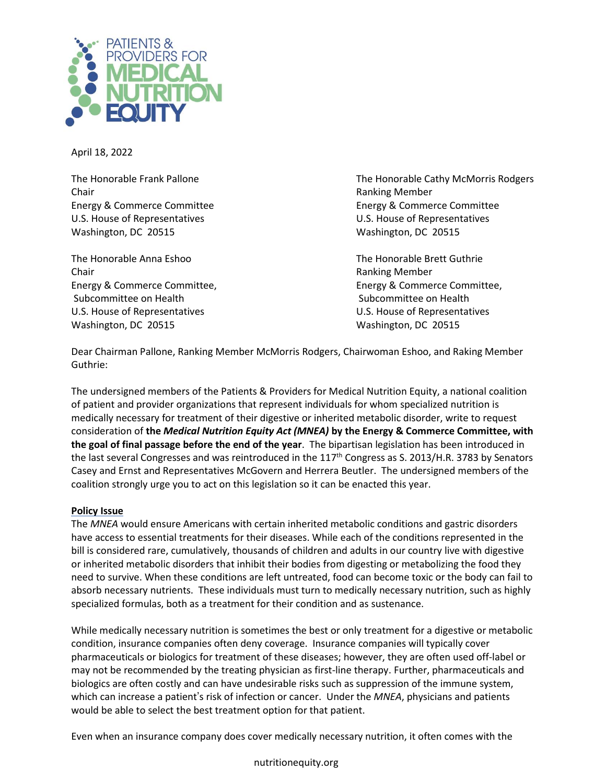

April 18, 2022

Chair **Chair** Ranking Member U.S. House of Representatives U.S. House of Representatives Washington, DC 20515 Washington, DC 20515

The Honorable Anna Eshoo The Honorable Brett Guthrie Chair **Chair** Ranking Member Subcommittee on Health Subcommittee on Health Subcommittee on Health U.S. House of Representatives U.S. House of Representatives Washington, DC 20515 Washington, DC 20515

The Honorable Frank Pallone The Honorable Cathy McMorris Rodgers Energy & Commerce Committee Energy & Commerce Committee

Energy & Commerce Committee, Energy & Commerce Committee,

Dear Chairman Pallone, Ranking Member McMorris Rodgers, Chairwoman Eshoo, and Raking Member Guthrie:

The undersigned members of the Patients & Providers for Medical Nutrition Equity, a national coalition of patient and provider organizations that represent individuals for whom specialized nutrition is medically necessary for treatment of their digestive or inherited metabolic disorder, write to request consideration of **the** *Medical Nutrition Equity Act (MNEA)* **by the Energy & Commerce Committee, with the goal of final passage before the end of the year**. The bipartisan legislation has been introduced in the last several Congresses and was reintroduced in the  $117<sup>th</sup>$  Congress as S. 2013/H.R. 3783 by Senators Casey and Ernst and Representatives McGovern and Herrera Beutler. The undersigned members of the coalition strongly urge you to act on this legislation so it can be enacted this year.

## **Policy Issue**

The *MNEA* would ensure Americans with certain inherited metabolic conditions and gastric disorders have access to essential treatments for their diseases. While each of the conditions represented in the bill is considered rare, cumulatively, thousands of children and adults in our country live with digestive or inherited metabolic disorders that inhibit their bodies from digesting or metabolizing the food they need to survive. When these conditions are left untreated, food can become toxic or the body can fail to absorb necessary nutrients. These individuals must turn to medically necessary nutrition, such as highly specialized formulas, both as a treatment for their condition and as sustenance.

While medically necessary nutrition is sometimes the best or only treatment for a digestive or metabolic condition, insurance companies often deny coverage. Insurance companies will typically cover pharmaceuticals or biologics for treatment of these diseases; however, they are often used off-label or may not be recommended by the treating physician as first-line therapy. Further, pharmaceuticals and biologics are often costly and can have undesirable risks such as suppression of the immune system, which can increase a patient's risk of infection or cancer. Under the *MNEA*, physicians and patients would be able to select the best treatment option for that patient.

Even when an insurance company does cover medically necessary nutrition, it often comes with the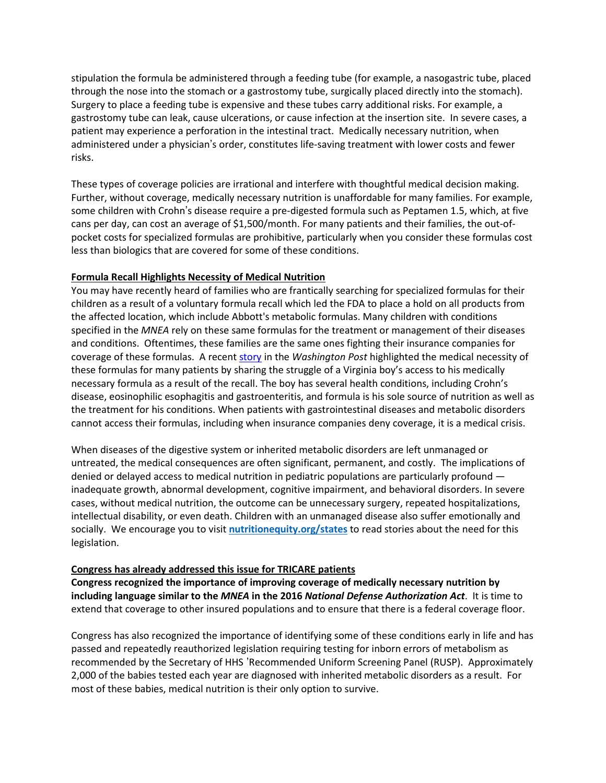stipulation the formula be administered through a feeding tube (for example, a nasogastric tube, placed through the nose into the stomach or a gastrostomy tube, surgically placed directly into the stomach). Surgery to place a feeding tube is expensive and these tubes carry additional risks. For example, a gastrostomy tube can leak, cause ulcerations, or cause infection at the insertion site. In severe cases, a patient may experience a perforation in the intestinal tract. Medically necessary nutrition, when administered under a physician's order, constitutes life-saving treatment with lower costs and fewer risks.

These types of coverage policies are irrational and interfere with thoughtful medical decision making. Further, without coverage, medically necessary nutrition is unaffordable for many families. For example, some children with Crohn's disease require a pre-digested formula such as Peptamen 1.5, which, at five cans per day, can cost an average of \$1,500/month. For many patients and their families, the out-ofpocket costs for specialized formulas are prohibitive, particularly when you consider these formulas cost less than biologics that are covered for some of these conditions.

## **Formula Recall Highlights Necessity of Medical Nutrition**

You may have recently heard of families who are frantically searching for specialized formulas for their children as a result of a voluntary formula recall which led the FDA to place a hold on all products from the affected location, which include Abbott's metabolic formulas. Many children with conditions specified in the *MNEA* rely on these same formulas for the treatment or management of their diseases and conditions. Oftentimes, these families are the same ones fighting their insurance companies for coverage of these formulas. A recent [story](https://www.washingtonpost.com/lifestyle/2022/02/23/formula-recall-fda-elecare-allergy/) in the *Washington Post* highlighted the medical necessity of these formulas for many patients by sharing the struggle of a Virginia boy's access to his medically necessary formula as a result of the recall. The boy has several health conditions, including Crohn's disease, eosinophilic esophagitis and gastroenteritis, and formula is his sole source of nutrition as well as the treatment for his conditions. When patients with gastrointestinal diseases and metabolic disorders cannot access their formulas, including when insurance companies deny coverage, it is a medical crisis.

When diseases of the digestive system or inherited metabolic disorders are left unmanaged or untreated, the medical consequences are often significant, permanent, and costly. The implications of denied or delayed access to medical nutrition in pediatric populations are particularly profound inadequate growth, abnormal development, cognitive impairment, and behavioral disorders. In severe cases, without medical nutrition, the outcome can be unnecessary surgery, repeated hospitalizations, intellectual disability, or even death. Children with an unmanaged disease also suffer emotionally and socially. We encourage you to visit **nutritionequity.org/states** to read stories about the need for this legislation.

## **Congress has already addressed this issue for TRICARE patients**

**Congress recognized the importance of improving coverage of medically necessary nutrition by including language similar to the** *MNEA* **in the 2016** *National Defense Authorization Act*. It is time to extend that coverage to other insured populations and to ensure that there is a federal coverage floor.

Congress has also recognized the importance of identifying some of these conditions early in life and has passed and repeatedly reauthorized legislation requiring testing for inborn errors of metabolism as recommended by the Secretary of HHS 'Recommended Uniform Screening Panel (RUSP). Approximately 2,000 of the babies tested each year are diagnosed with inherited metabolic disorders as a result. For most of these babies, medical nutrition is their only option to survive.